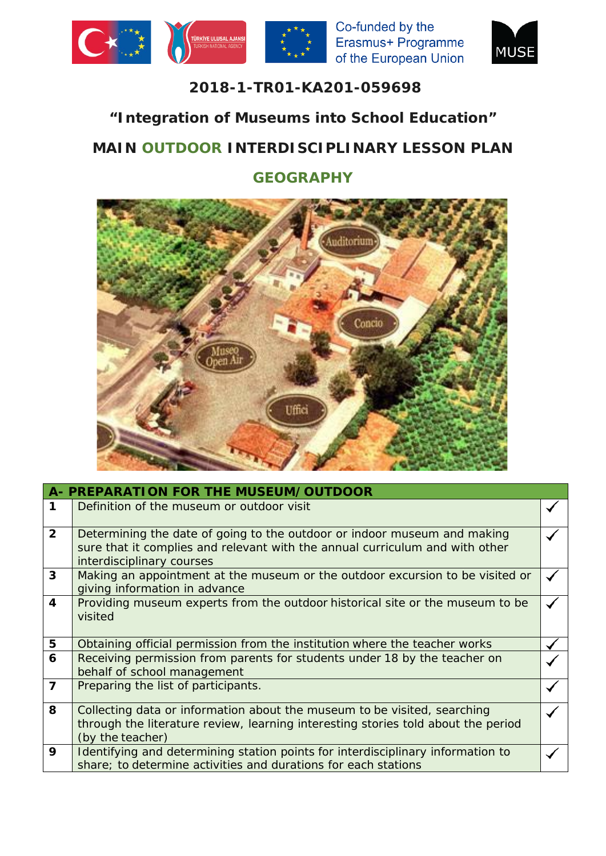





## **2018-1-TR01-KA201-059698**

## **"Integration of Museums into School Education"**

## **MAIN OUTDOOR INTERDISCIPLINARY LESSON PLAN**

## **GEOGRAPHY**



|                | A- PREPARATION FOR THE MUSEUM/OUTDOOR                                                                                                                                                 |  |
|----------------|---------------------------------------------------------------------------------------------------------------------------------------------------------------------------------------|--|
| 1              | Definition of the museum or outdoor visit                                                                                                                                             |  |
| $\overline{2}$ | Determining the date of going to the outdoor or indoor museum and making<br>sure that it complies and relevant with the annual curriculum and with other<br>interdisciplinary courses |  |
| $\overline{3}$ | Making an appointment at the museum or the outdoor excursion to be visited or<br>giving information in advance                                                                        |  |
| $\overline{4}$ | Providing museum experts from the outdoor historical site or the museum to be<br>visited                                                                                              |  |
| 5              | Obtaining official permission from the institution where the teacher works                                                                                                            |  |
| 6              | Receiving permission from parents for students under 18 by the teacher on<br>behalf of school management                                                                              |  |
| $\overline{7}$ | Preparing the list of participants.                                                                                                                                                   |  |
| 8              | Collecting data or information about the museum to be visited, searching<br>through the literature review, learning interesting stories told about the period<br>(by the teacher)     |  |
| 9              | Identifying and determining station points for interdisciplinary information to<br>share; to determine activities and durations for each stations                                     |  |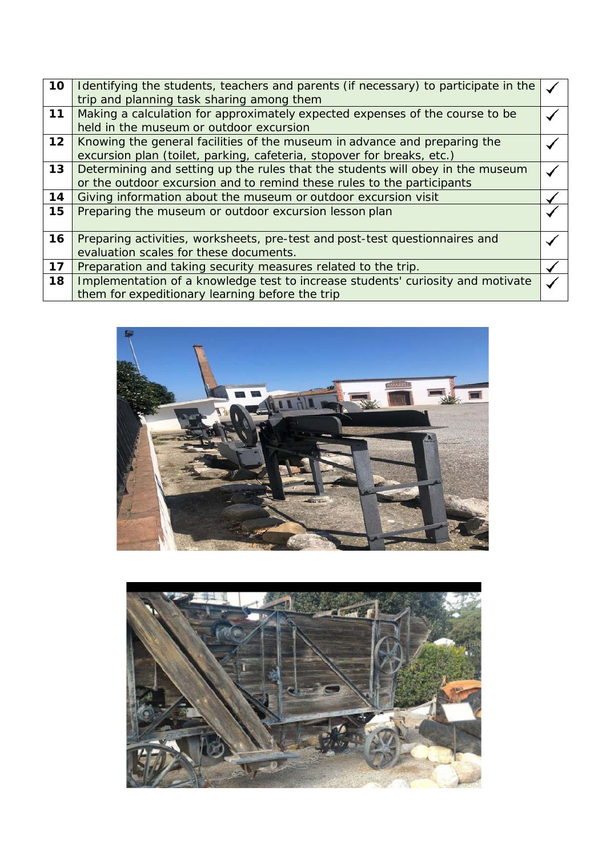| 10 | Identifying the students, teachers and parents (if necessary) to participate in the |  |
|----|-------------------------------------------------------------------------------------|--|
|    | trip and planning task sharing among them                                           |  |
| 11 | Making a calculation for approximately expected expenses of the course to be        |  |
|    | held in the museum or outdoor excursion                                             |  |
| 12 | Knowing the general facilities of the museum in advance and preparing the           |  |
|    | excursion plan (toilet, parking, cafeteria, stopover for breaks, etc.)              |  |
| 13 | Determining and setting up the rules that the students will obey in the museum      |  |
|    | or the outdoor excursion and to remind these rules to the participants              |  |
| 14 | Giving information about the museum or outdoor excursion visit                      |  |
| 15 | Preparing the museum or outdoor excursion lesson plan                               |  |
|    |                                                                                     |  |
| 16 | Preparing activities, worksheets, pre-test and post-test questionnaires and         |  |
|    | evaluation scales for these documents.                                              |  |
| 17 | Preparation and taking security measures related to the trip.                       |  |
| 18 | Implementation of a knowledge test to increase students' curiosity and motivate     |  |
|    | them for expeditionary learning before the trip                                     |  |
|    |                                                                                     |  |



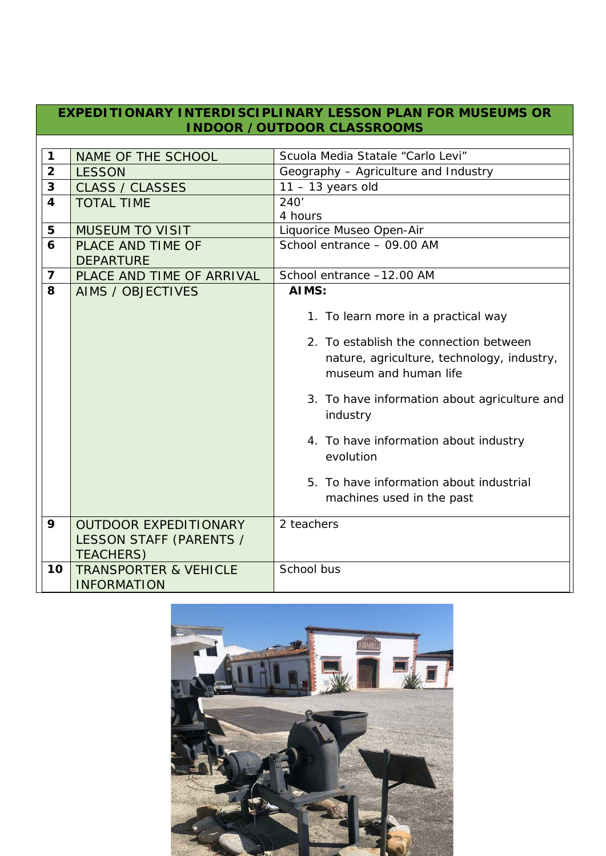| EXPEDITIONARY INTERDISCIPLINARY LESSON PLAN FOR MUSEUMS OR<br><b>INDOOR /OUTDOOR CLASSROOMS</b> |                                                                             |                                                                                                                                                                                                                                                                                                                                                |  |  |
|-------------------------------------------------------------------------------------------------|-----------------------------------------------------------------------------|------------------------------------------------------------------------------------------------------------------------------------------------------------------------------------------------------------------------------------------------------------------------------------------------------------------------------------------------|--|--|
|                                                                                                 |                                                                             |                                                                                                                                                                                                                                                                                                                                                |  |  |
| $\mathbf 1$                                                                                     | NAME OF THE SCHOOL                                                          | Scuola Media Statale "Carlo Levi"                                                                                                                                                                                                                                                                                                              |  |  |
| $\overline{2}$                                                                                  | <b>LESSON</b>                                                               | Geography - Agriculture and Industry                                                                                                                                                                                                                                                                                                           |  |  |
| $\overline{\mathbf{3}}$                                                                         | <b>CLASS / CLASSES</b>                                                      | $11 - 13$ years old                                                                                                                                                                                                                                                                                                                            |  |  |
| $\overline{\mathbf{4}}$                                                                         | <b>TOTAL TIME</b>                                                           | 240'                                                                                                                                                                                                                                                                                                                                           |  |  |
|                                                                                                 |                                                                             | 4 hours                                                                                                                                                                                                                                                                                                                                        |  |  |
| 5                                                                                               | <b>MUSEUM TO VISIT</b>                                                      | Liquorice Museo Open-Air                                                                                                                                                                                                                                                                                                                       |  |  |
| 6                                                                                               | PLACE AND TIME OF                                                           | School entrance - 09.00 AM                                                                                                                                                                                                                                                                                                                     |  |  |
|                                                                                                 | <b>DEPARTURE</b>                                                            |                                                                                                                                                                                                                                                                                                                                                |  |  |
| $\overline{7}$                                                                                  | PLACE AND TIME OF ARRIVAL                                                   | School entrance -12.00 AM                                                                                                                                                                                                                                                                                                                      |  |  |
| 8                                                                                               | <b>AIMS / OBJECTIVES</b>                                                    | AIMS:                                                                                                                                                                                                                                                                                                                                          |  |  |
|                                                                                                 |                                                                             | 1. To learn more in a practical way<br>2. To establish the connection between<br>nature, agriculture, technology, industry,<br>museum and human life<br>3. To have information about agriculture and<br>industry<br>4. To have information about industry<br>evolution<br>5. To have information about industrial<br>machines used in the past |  |  |
| 9                                                                                               | <b>OUTDOOR EXPEDITIONARY</b><br>LESSON STAFF (PARENTS /<br><b>TEACHERS)</b> | 2 teachers                                                                                                                                                                                                                                                                                                                                     |  |  |
| 10                                                                                              | <b>TRANSPORTER &amp; VEHICLE</b><br><b>INFORMATION</b>                      | School bus                                                                                                                                                                                                                                                                                                                                     |  |  |

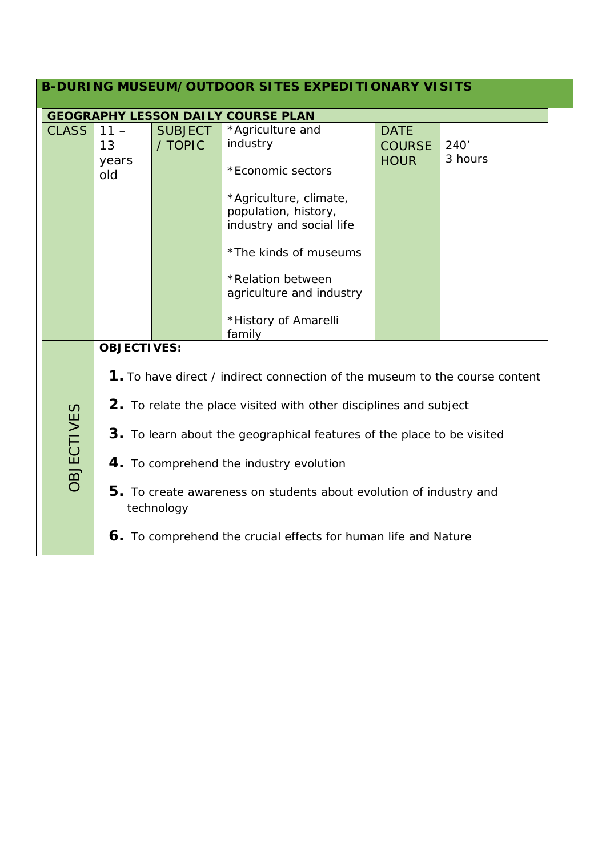| <b>B-DURING MUSEUM/OUTDOOR SITES EXPEDITIONARY VISITS</b> |                                                                                  |                |                                                                            |               |         |  |
|-----------------------------------------------------------|----------------------------------------------------------------------------------|----------------|----------------------------------------------------------------------------|---------------|---------|--|
| <b>GEOGRAPHY LESSON DAILY COURSE PLAN</b>                 |                                                                                  |                |                                                                            |               |         |  |
| <b>CLASS</b>                                              | $11 -$                                                                           | <b>SUBJECT</b> | *Agriculture and                                                           | <b>DATE</b>   |         |  |
|                                                           | 13                                                                               | / TOPIC        | industry                                                                   | <b>COURSE</b> | 240'    |  |
|                                                           | years<br>old                                                                     |                | *Economic sectors                                                          | <b>HOUR</b>   | 3 hours |  |
|                                                           |                                                                                  |                | *Agriculture, climate,<br>population, history,<br>industry and social life |               |         |  |
|                                                           |                                                                                  |                | *The kinds of museums                                                      |               |         |  |
|                                                           |                                                                                  |                | *Relation between<br>agriculture and industry                              |               |         |  |
|                                                           |                                                                                  |                | *History of Amarelli<br>family                                             |               |         |  |
| <b>OBJECTIVES:</b>                                        |                                                                                  |                |                                                                            |               |         |  |
|                                                           | 1. To have direct / indirect connection of the museum to the course content      |                |                                                                            |               |         |  |
|                                                           | 2. To relate the place visited with other disciplines and subject                |                |                                                                            |               |         |  |
| <b>OBJECTIVES</b>                                         | 3. To learn about the geographical features of the place to be visited           |                |                                                                            |               |         |  |
|                                                           | 4. To comprehend the industry evolution                                          |                |                                                                            |               |         |  |
|                                                           | 5. To create awareness on students about evolution of industry and<br>technology |                |                                                                            |               |         |  |
|                                                           | 6. To comprehend the crucial effects for human life and Nature                   |                |                                                                            |               |         |  |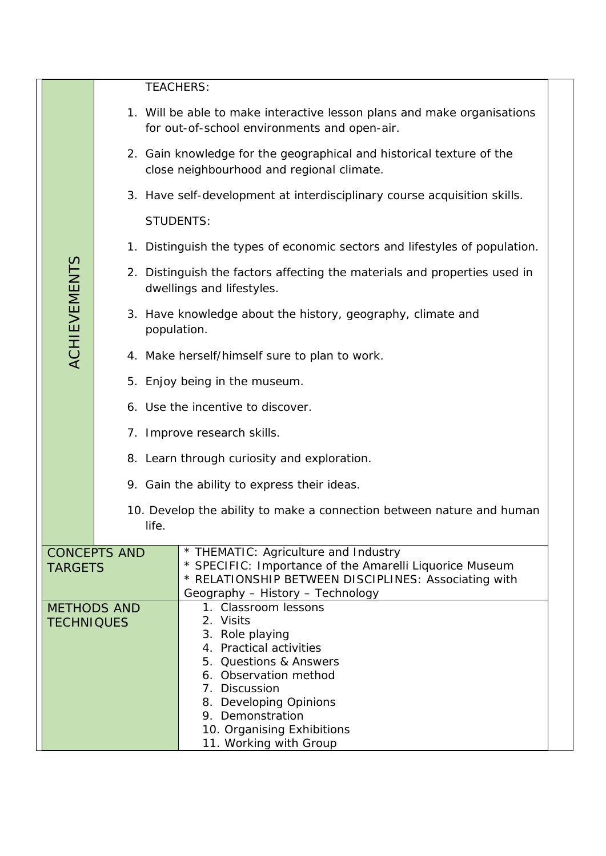|                                         |                                                                                                                              | <b>TEACHERS:</b>                                                                                                                                                                                                                                          |  |  |  |  |  |
|-----------------------------------------|------------------------------------------------------------------------------------------------------------------------------|-----------------------------------------------------------------------------------------------------------------------------------------------------------------------------------------------------------------------------------------------------------|--|--|--|--|--|
|                                         |                                                                                                                              | 1. Will be able to make interactive lesson plans and make organisations<br>for out-of-school environments and open-air.                                                                                                                                   |  |  |  |  |  |
|                                         |                                                                                                                              | 2. Gain knowledge for the geographical and historical texture of the<br>close neighbourhood and regional climate.                                                                                                                                         |  |  |  |  |  |
|                                         |                                                                                                                              | 3. Have self-development at interdisciplinary course acquisition skills.                                                                                                                                                                                  |  |  |  |  |  |
|                                         |                                                                                                                              | <b>STUDENTS:</b>                                                                                                                                                                                                                                          |  |  |  |  |  |
|                                         |                                                                                                                              | 1. Distinguish the types of economic sectors and lifestyles of population.                                                                                                                                                                                |  |  |  |  |  |
|                                         |                                                                                                                              | 2. Distinguish the factors affecting the materials and properties used in<br>dwellings and lifestyles.                                                                                                                                                    |  |  |  |  |  |
| <b>ACHIEVEMENTS</b>                     |                                                                                                                              | 3. Have knowledge about the history, geography, climate and<br>population.                                                                                                                                                                                |  |  |  |  |  |
|                                         |                                                                                                                              | 4. Make herself/himself sure to plan to work.                                                                                                                                                                                                             |  |  |  |  |  |
|                                         |                                                                                                                              | 5. Enjoy being in the museum.                                                                                                                                                                                                                             |  |  |  |  |  |
|                                         |                                                                                                                              | 6. Use the incentive to discover.                                                                                                                                                                                                                         |  |  |  |  |  |
|                                         | 7. Improve research skills.                                                                                                  |                                                                                                                                                                                                                                                           |  |  |  |  |  |
|                                         |                                                                                                                              | 8. Learn through curiosity and exploration.                                                                                                                                                                                                               |  |  |  |  |  |
|                                         | 9. Gain the ability to express their ideas.<br>10. Develop the ability to make a connection between nature and human<br>life |                                                                                                                                                                                                                                                           |  |  |  |  |  |
|                                         |                                                                                                                              |                                                                                                                                                                                                                                                           |  |  |  |  |  |
| <b>CONCEPTS AND</b><br><b>TARGETS</b>   |                                                                                                                              | * THEMATIC: Agriculture and Industry<br>* SPECIFIC: Importance of the Amarelli Liquorice Museum<br>* RELATIONSHIP BETWEEN DISCIPLINES: Associating with<br>Geography - History - Technology                                                               |  |  |  |  |  |
| <b>METHODS AND</b><br><b>TECHNIQUES</b> |                                                                                                                              | 1. Classroom lessons<br>2. Visits<br>3. Role playing<br>4. Practical activities<br>5. Questions & Answers<br>6. Observation method<br>7. Discussion<br>8. Developing Opinions<br>9. Demonstration<br>10. Organising Exhibitions<br>11. Working with Group |  |  |  |  |  |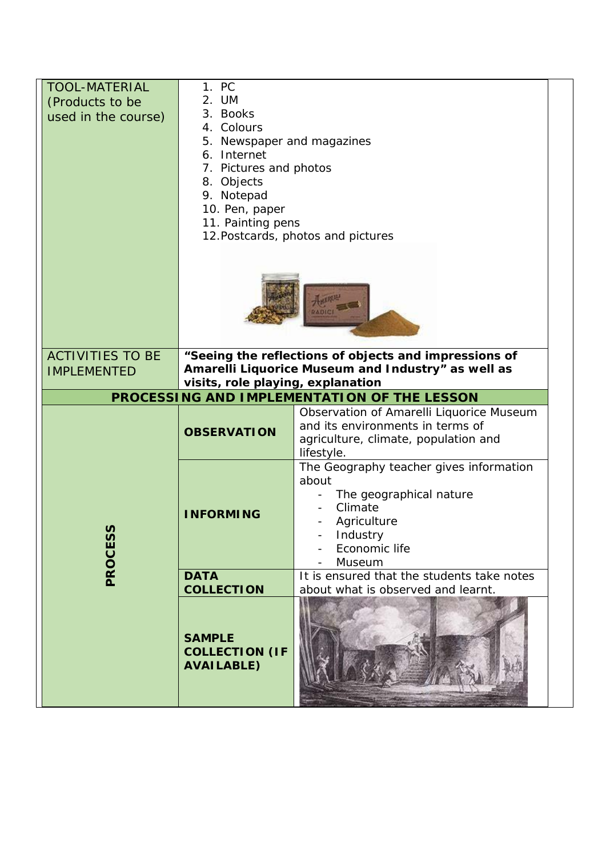| <b>TOOL-MATERIAL</b><br>(Products to be<br>used in the course)                          | 1. PC<br>2. UM<br>3. Books<br>4. Colours<br>5. Newspaper and magazines<br>6. Internet<br>7. Pictures and photos<br>8. Objects<br>9. Notepad<br>10. Pen, paper |                                                                                                                                              |  |  |
|-----------------------------------------------------------------------------------------|---------------------------------------------------------------------------------------------------------------------------------------------------------------|----------------------------------------------------------------------------------------------------------------------------------------------|--|--|
|                                                                                         | 11. Painting pens<br>12. Postcards, photos and pictures<br><b>ADICI</b>                                                                                       |                                                                                                                                              |  |  |
| <b>ACTIVITIES TO BE</b><br><b>IMPLEMENTED</b>                                           | "Seeing the reflections of objects and impressions of<br>Amarelli Liquorice Museum and Industry" as well as                                                   |                                                                                                                                              |  |  |
|                                                                                         | visits, role playing, explanation                                                                                                                             |                                                                                                                                              |  |  |
| PROCESSING AND IMPLEMENTATION OF THE LESSON<br>Observation of Amarelli Liquorice Museum |                                                                                                                                                               |                                                                                                                                              |  |  |
|                                                                                         | <b>OBSERVATION</b>                                                                                                                                            | and its environments in terms of<br>agriculture, climate, population and<br>lifestyle.                                                       |  |  |
| n<br>PROCES                                                                             | <b>INFORMING</b>                                                                                                                                              | The Geography teacher gives information<br>about<br>The geographical nature<br>Climate<br>Agriculture<br>Industry<br>Economic life<br>Museum |  |  |
|                                                                                         | <b>DATA</b><br><b>COLLECTION</b>                                                                                                                              | It is ensured that the students take notes<br>about what is observed and learnt.                                                             |  |  |
|                                                                                         | <b>SAMPLE</b><br><b>COLLECTION (IF</b><br><b>AVAILABLE)</b>                                                                                                   |                                                                                                                                              |  |  |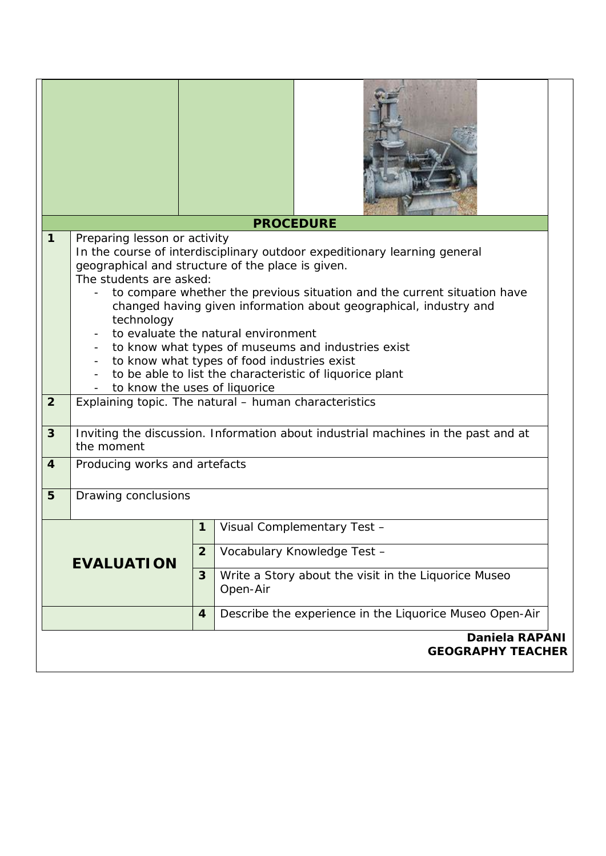|                                                   |                                                                                                                                                                                                                                                                                                                                                                                                                                                                                                                                                                                                                                                            |                  | <b>PROCEDURE</b>                                                 |  |
|---------------------------------------------------|------------------------------------------------------------------------------------------------------------------------------------------------------------------------------------------------------------------------------------------------------------------------------------------------------------------------------------------------------------------------------------------------------------------------------------------------------------------------------------------------------------------------------------------------------------------------------------------------------------------------------------------------------------|------------------|------------------------------------------------------------------|--|
| 1<br>$\overline{2}$                               | Preparing lesson or activity<br>In the course of interdisciplinary outdoor expeditionary learning general<br>geographical and structure of the place is given.<br>The students are asked:<br>to compare whether the previous situation and the current situation have<br>changed having given information about geographical, industry and<br>technology<br>to evaluate the natural environment<br>to know what types of museums and industries exist<br>to know what types of food industries exist<br>to be able to list the characteristic of liquorice plant<br>to know the uses of liquorice<br>Explaining topic. The natural - human characteristics |                  |                                                                  |  |
| 3                                                 | Inviting the discussion. Information about industrial machines in the past and at<br>the moment                                                                                                                                                                                                                                                                                                                                                                                                                                                                                                                                                            |                  |                                                                  |  |
| 4                                                 | Producing works and artefacts                                                                                                                                                                                                                                                                                                                                                                                                                                                                                                                                                                                                                              |                  |                                                                  |  |
| 5                                                 | Drawing conclusions                                                                                                                                                                                                                                                                                                                                                                                                                                                                                                                                                                                                                                        |                  |                                                                  |  |
|                                                   |                                                                                                                                                                                                                                                                                                                                                                                                                                                                                                                                                                                                                                                            | $\mathbf 1$      | Visual Complementary Test -                                      |  |
| <b>EVALUATION</b>                                 |                                                                                                                                                                                                                                                                                                                                                                                                                                                                                                                                                                                                                                                            | $\overline{2}$   | Vocabulary Knowledge Test -                                      |  |
|                                                   |                                                                                                                                                                                                                                                                                                                                                                                                                                                                                                                                                                                                                                                            | 3                | Write a Story about the visit in the Liquorice Museo<br>Open-Air |  |
|                                                   |                                                                                                                                                                                                                                                                                                                                                                                                                                                                                                                                                                                                                                                            | $\boldsymbol{4}$ | Describe the experience in the Liquorice Museo Open-Air          |  |
| <b>Daniela RAPANI</b><br><b>GEOGRAPHY TEACHER</b> |                                                                                                                                                                                                                                                                                                                                                                                                                                                                                                                                                                                                                                                            |                  |                                                                  |  |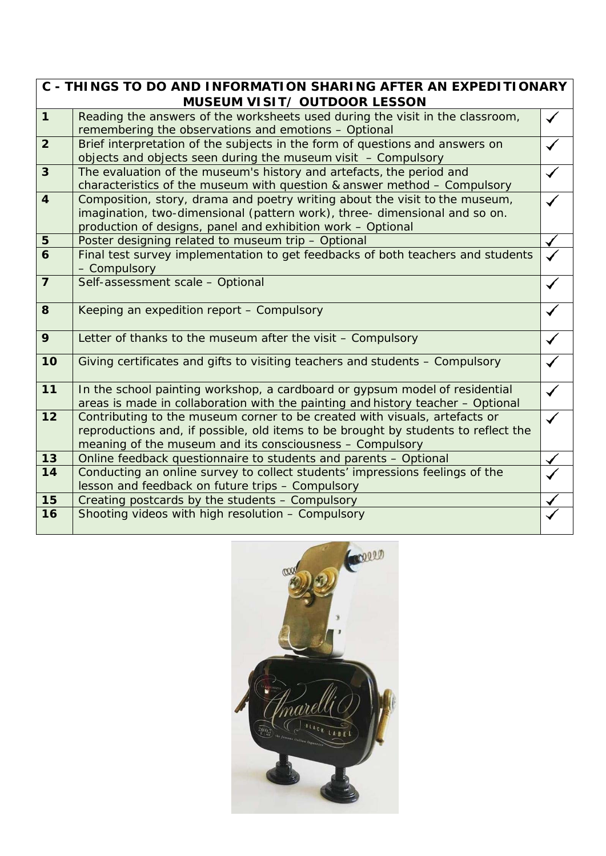|                | C - THINGS TO DO AND INFORMATION SHARING AFTER AN EXPEDITIONARY<br><b>MUSEUM VISIT/ OUTDOOR LESSON</b>                                                                                                                       |  |
|----------------|------------------------------------------------------------------------------------------------------------------------------------------------------------------------------------------------------------------------------|--|
| $\mathbf{1}$   | Reading the answers of the worksheets used during the visit in the classroom,<br>remembering the observations and emotions - Optional                                                                                        |  |
| $\overline{2}$ | Brief interpretation of the subjects in the form of questions and answers on<br>objects and objects seen during the museum visit $-$ Compulsory                                                                              |  |
| $\overline{3}$ | The evaluation of the museum's history and artefacts, the period and<br>characteristics of the museum with question & answer method $-$ Compulsory                                                                           |  |
| $\overline{4}$ | Composition, story, drama and poetry writing about the visit to the museum,<br>imagination, two-dimensional (pattern work), three-dimensional and so on.<br>production of designs, panel and exhibition work - Optional      |  |
| 5              | Poster designing related to museum trip - Optional                                                                                                                                                                           |  |
| 6              | Final test survey implementation to get feedbacks of both teachers and students<br>- Compulsory                                                                                                                              |  |
| $\overline{7}$ | Self-assessment scale - Optional                                                                                                                                                                                             |  |
| 8              | Keeping an expedition report - Compulsory                                                                                                                                                                                    |  |
| 9              | Letter of thanks to the museum after the visit - Compulsory                                                                                                                                                                  |  |
| 10             | Giving certificates and gifts to visiting teachers and students - Compulsory                                                                                                                                                 |  |
| 11             | In the school painting workshop, a cardboard or gypsum model of residential<br>areas is made in collaboration with the painting and history teacher - Optional                                                               |  |
| 12             | Contributing to the museum corner to be created with visuals, artefacts or<br>reproductions and, if possible, old items to be brought by students to reflect the<br>meaning of the museum and its consciousness - Compulsory |  |
| 13             | Online feedback questionnaire to students and parents - Optional                                                                                                                                                             |  |
| 14             | Conducting an online survey to collect students' impressions feelings of the<br>lesson and feedback on future trips - Compulsory                                                                                             |  |
| 15             |                                                                                                                                                                                                                              |  |
|                | Creating postcards by the students - Compulsory                                                                                                                                                                              |  |
| 16             | Shooting videos with high resolution - Compulsory                                                                                                                                                                            |  |